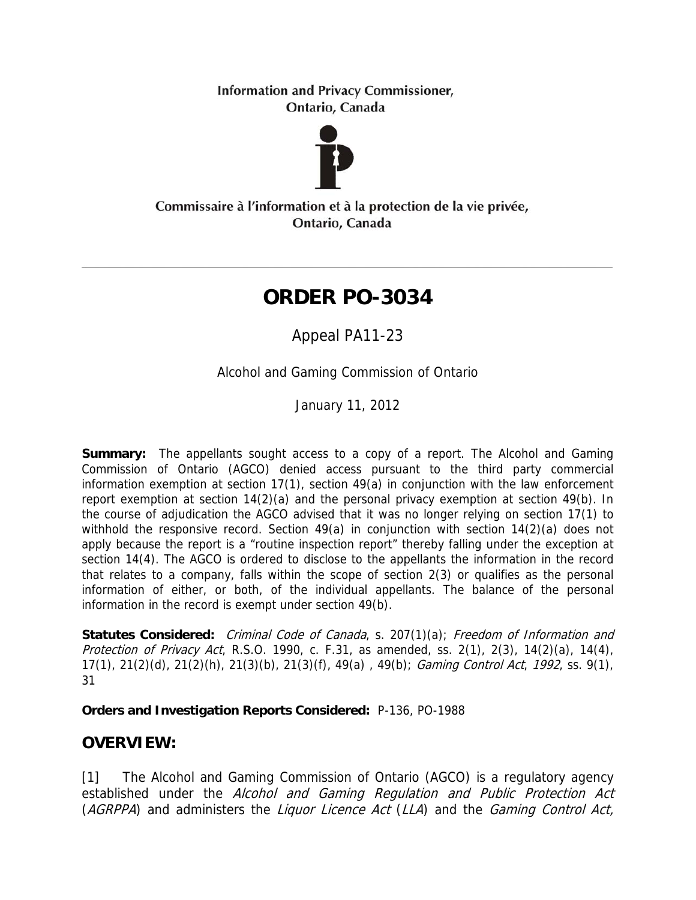**Information and Privacy Commissioner,** Ontario, Canada



Commissaire à l'information et à la protection de la vie privée, Ontario, Canada

# **ORDER PO-3034**

Appeal PA11-23

Alcohol and Gaming Commission of Ontario

January 11, 2012

**Summary:** The appellants sought access to a copy of a report. The Alcohol and Gaming Commission of Ontario (AGCO) denied access pursuant to the third party commercial information exemption at section 17(1), section 49(a) in conjunction with the law enforcement report exemption at section 14(2)(a) and the personal privacy exemption at section 49(b). In the course of adjudication the AGCO advised that it was no longer relying on section 17(1) to withhold the responsive record. Section 49(a) in conjunction with section 14(2)(a) does not apply because the report is a "routine inspection report" thereby falling under the exception at section 14(4). The AGCO is ordered to disclose to the appellants the information in the record that relates to a company, falls within the scope of section 2(3) or qualifies as the personal information of either, or both, of the individual appellants. The balance of the personal information in the record is exempt under section 49(b).

**Statutes Considered:** Criminal Code of Canada, s. 207(1)(a); Freedom of Information and Protection of Privacy Act, R.S.O. 1990, c. F.31, as amended, ss. 2(1), 2(3), 14(2)(a), 14(4), 17(1), 21(2)(d), 21(2)(h), 21(3)(b), 21(3)(f), 49(a) , 49(b); Gaming Control Act, 1992, ss. 9(1), 31

**Orders and Investigation Reports Considered:** P-136, PO-1988

# **OVERVIEW:**

[1] The Alcohol and Gaming Commission of Ontario (AGCO) is a regulatory agency established under the Alcohol and Gaming Regulation and Public Protection Act (AGRPPA) and administers the Liquor Licence Act (LLA) and the Gaming Control Act,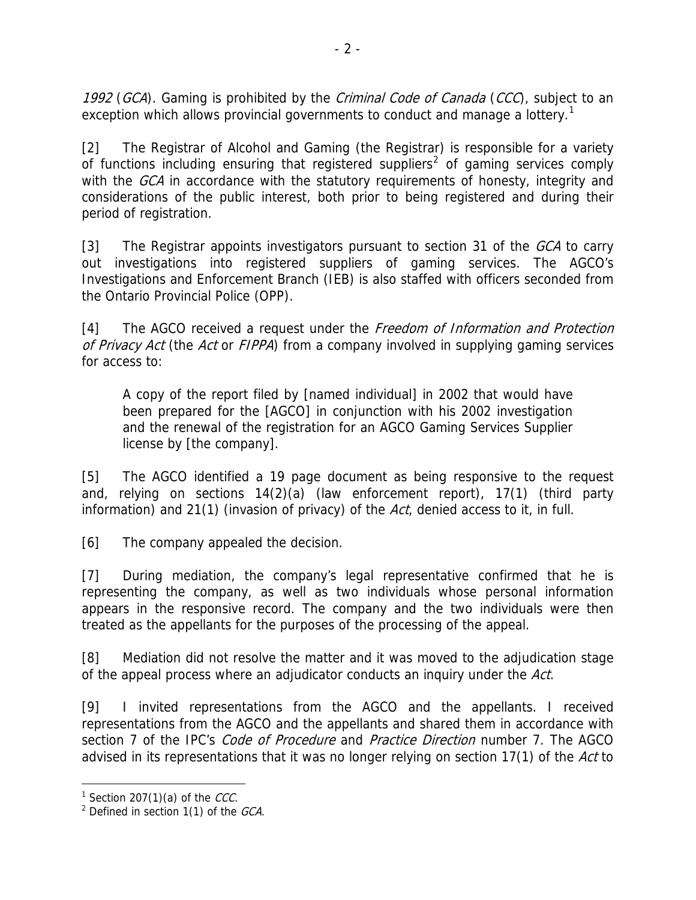1992 (GCA). Gaming is prohibited by the *Criminal Code of Canada* (CCC), subject to an exception which allows provincial governments to conduct and manage a lottery.<sup>[1](#page-1-0)</sup>

[2] The Registrar of Alcohol and Gaming (the Registrar) is responsible for a variety of functions including ensuring that registered suppliers<sup>[2](#page-1-1)</sup> of gaming services comply with the GCA in accordance with the statutory requirements of honesty, integrity and considerations of the public interest, both prior to being registered and during their period of registration.

[3] The Registrar appoints investigators pursuant to section 31 of the  $GCA$  to carry out investigations into registered suppliers of gaming services. The AGCO's Investigations and Enforcement Branch (IEB) is also staffed with officers seconded from the Ontario Provincial Police (OPP).

[4] The AGCO received a request under the *Freedom of Information and Protection* of Privacy Act (the Act or FIPPA) from a company involved in supplying gaming services for access to:

A copy of the report filed by [named individual] in 2002 that would have been prepared for the [AGCO] in conjunction with his 2002 investigation and the renewal of the registration for an AGCO Gaming Services Supplier license by [the company].

[5] The AGCO identified a 19 page document as being responsive to the request and, relying on sections 14(2)(a) (law enforcement report), 17(1) (third party information) and 21(1) (invasion of privacy) of the  $Act$ , denied access to it, in full.

[6] The company appealed the decision.

[7] During mediation, the company's legal representative confirmed that he is representing the company, as well as two individuals whose personal information appears in the responsive record. The company and the two individuals were then treated as the appellants for the purposes of the processing of the appeal.

[8] Mediation did not resolve the matter and it was moved to the adjudication stage of the appeal process where an adjudicator conducts an inquiry under the Act.

[9] I invited representations from the AGCO and the appellants. I received representations from the AGCO and the appellants and shared them in accordance with section 7 of the IPC's *Code of Procedure* and *Practice Direction* number 7. The AGCO advised in its representations that it was no longer relying on section 17(1) of the Act to

 $\overline{a}$ <sup>1</sup> Section 207(1)(a) of the *CCC*.

<span id="page-1-1"></span><span id="page-1-0"></span> $2$  Defined in section 1(1) of the GCA.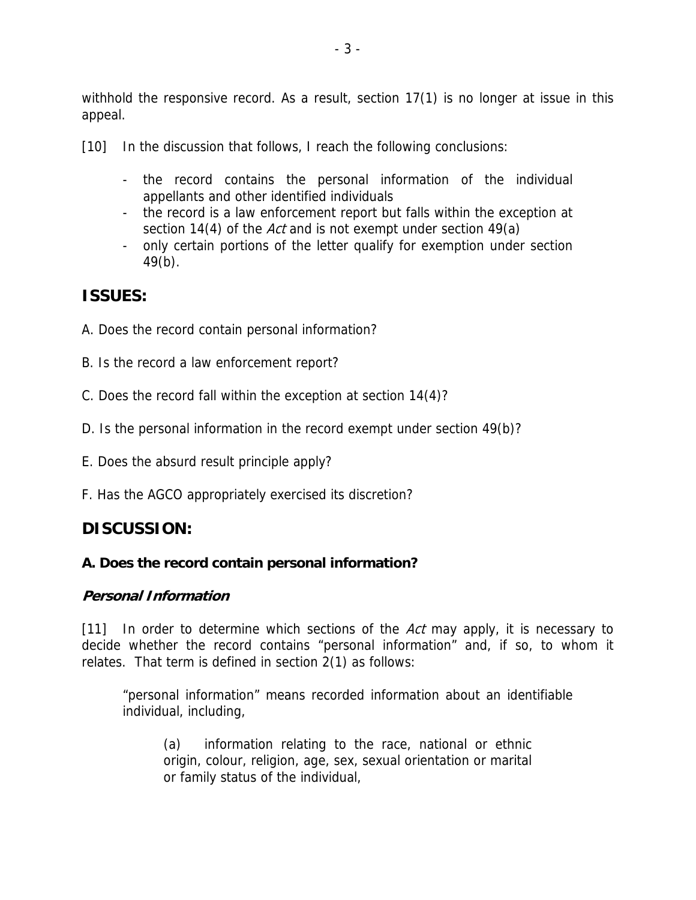withhold the responsive record. As a result, section 17(1) is no longer at issue in this appeal.

[10] In the discussion that follows, I reach the following conclusions:

- the record contains the personal information of the individual appellants and other identified individuals
- the record is a law enforcement report but falls within the exception at section 14(4) of the *Act* and is not exempt under section 49(a)
- only certain portions of the letter qualify for exemption under section 49(b).

# **ISSUES:**

- A. Does the record contain personal information?
- B. Is the record a law enforcement report?
- C. Does the record fall within the exception at section 14(4)?
- D. Is the personal information in the record exempt under section 49(b)?
- E. Does the absurd result principle apply?
- F. Has the AGCO appropriately exercised its discretion?

# **DISCUSSION:**

#### **A. Does the record contain personal information?**

#### **Personal Information**

[11] In order to determine which sections of the Act may apply, it is necessary to decide whether the record contains "personal information" and, if so, to whom it relates. That term is defined in section 2(1) as follows:

"personal information" means recorded information about an identifiable individual, including,

(a) information relating to the race, national or ethnic origin, colour, religion, age, sex, sexual orientation or marital or family status of the individual,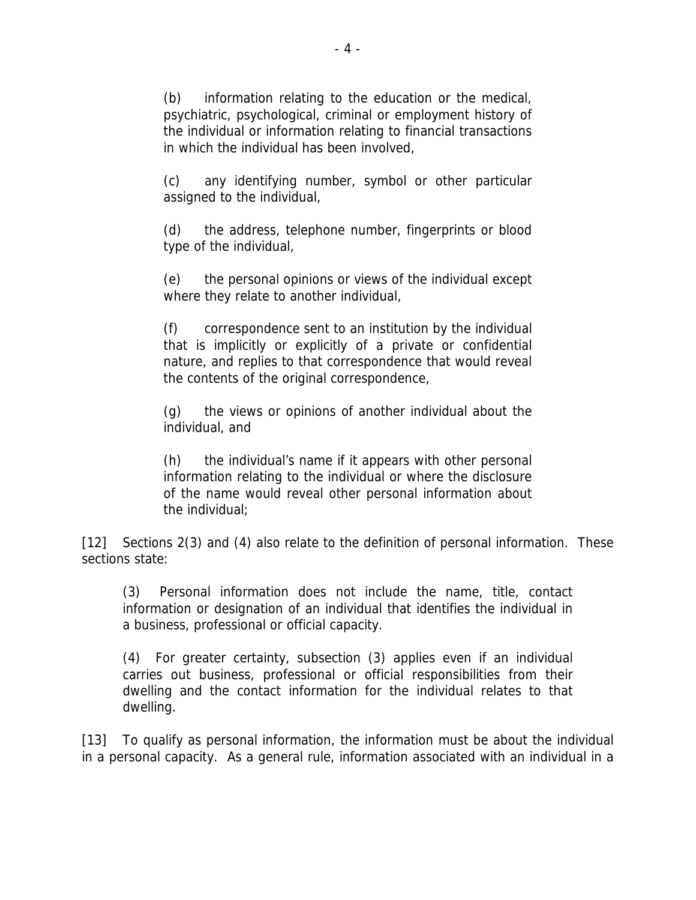(b) information relating to the education or the medical, psychiatric, psychological, criminal or employment history of the individual or information relating to financial transactions in which the individual has been involved,

(c) any identifying number, symbol or other particular assigned to the individual,

(d) the address, telephone number, fingerprints or blood type of the individual,

(e) the personal opinions or views of the individual except where they relate to another individual,

(f) correspondence sent to an institution by the individual that is implicitly or explicitly of a private or confidential nature, and replies to that correspondence that would reveal the contents of the original correspondence,

(g) the views or opinions of another individual about the individual, and

(h) the individual's name if it appears with other personal information relating to the individual or where the disclosure of the name would reveal other personal information about the individual;

[12] Sections 2(3) and (4) also relate to the definition of personal information. These sections state:

(3) Personal information does not include the name, title, contact information or designation of an individual that identifies the individual in a business, professional or official capacity.

(4) For greater certainty, subsection (3) applies even if an individual carries out business, professional or official responsibilities from their dwelling and the contact information for the individual relates to that dwelling.

[13] To qualify as personal information, the information must be about the individual in a personal capacity. As a general rule, information associated with an individual in a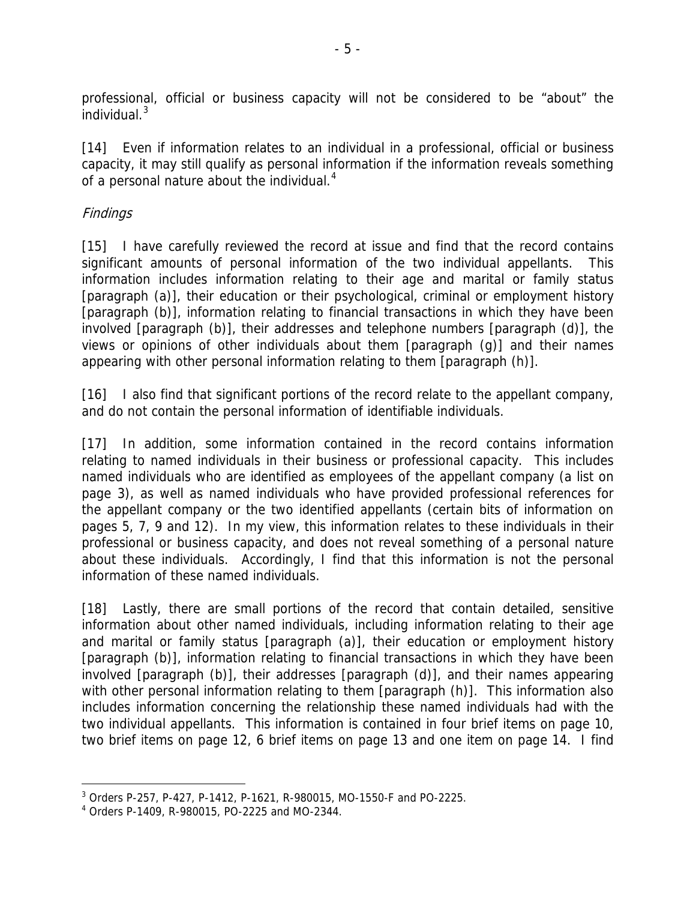professional, official or business capacity will not be considered to be "about" the  $i$ ndividual. $3$ 

[14] Even if information relates to an individual in a professional, official or business capacity, it may still qualify as personal information if the information reveals something of a personal nature about the individual.<sup>[4](#page-4-1)</sup>

#### Findings

[15] I have carefully reviewed the record at issue and find that the record contains significant amounts of personal information of the two individual appellants. This information includes information relating to their age and marital or family status [paragraph (a)], their education or their psychological, criminal or employment history [paragraph (b)], information relating to financial transactions in which they have been involved [paragraph (b)], their addresses and telephone numbers [paragraph (d)], the views or opinions of other individuals about them [paragraph (g)] and their names appearing with other personal information relating to them [paragraph (h)].

[16] I also find that significant portions of the record relate to the appellant company, and do not contain the personal information of identifiable individuals.

[17] In addition, some information contained in the record contains information relating to named individuals in their business or professional capacity. This includes named individuals who are identified as employees of the appellant company (a list on page 3), as well as named individuals who have provided professional references for the appellant company or the two identified appellants (certain bits of information on pages 5, 7, 9 and 12). In my view, this information relates to these individuals in their professional or business capacity, and does not reveal something of a personal nature about these individuals. Accordingly, I find that this information is not the personal information of these named individuals.

[18] Lastly, there are small portions of the record that contain detailed, sensitive information about other named individuals, including information relating to their age and marital or family status [paragraph (a)], their education or employment history [paragraph (b)], information relating to financial transactions in which they have been involved [paragraph (b)], their addresses [paragraph (d)], and their names appearing with other personal information relating to them [paragraph (h)]. This information also includes information concerning the relationship these named individuals had with the two individual appellants. This information is contained in four brief items on page 10, two brief items on page 12, 6 brief items on page 13 and one item on page 14. I find

 $\overline{a}$ 3 Orders P-257, P-427, P-1412, P-1621, R-980015, MO-1550-F and PO-2225.

<span id="page-4-1"></span><span id="page-4-0"></span><sup>4</sup> Orders P-1409, R-980015, PO-2225 and MO-2344.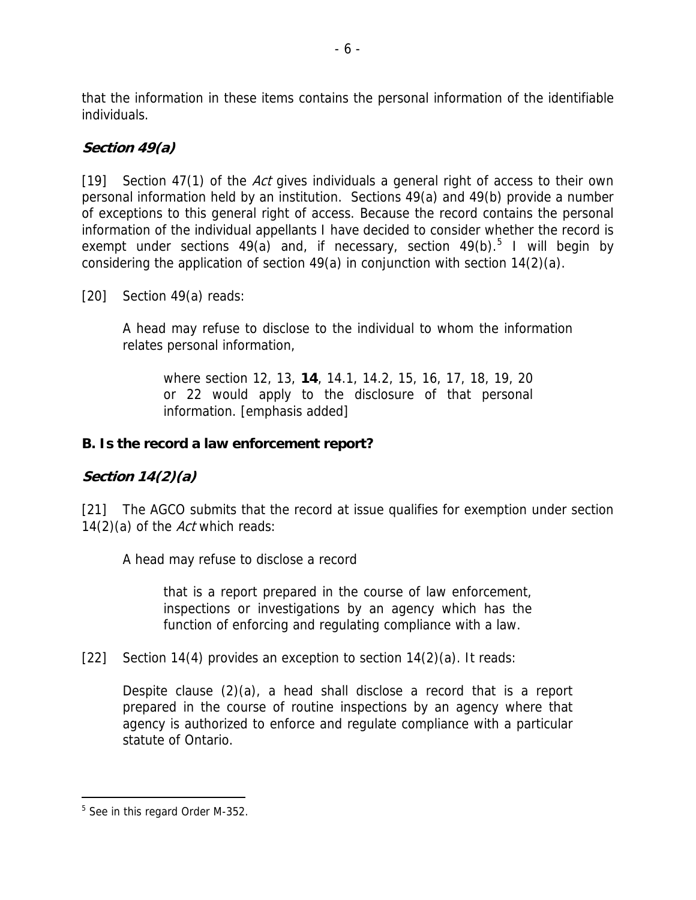that the information in these items contains the personal information of the identifiable individuals.

### **Section 49(a)**

[19] Section 47(1) of the Act gives individuals a general right of access to their own personal information held by an institution. Sections 49(a) and 49(b) provide a number of exceptions to this general right of access. Because the record contains the personal information of the individual appellants I have decided to consider whether the record is exempt under sections 49(a) and, if necessary, section 49(b).<sup>[5](#page-5-0)</sup> I will begin by considering the application of section 49(a) in conjunction with section 14(2)(a).

[20] Section 49(a) reads:

A head may refuse to disclose to the individual to whom the information relates personal information,

where section 12, 13, **14**, 14.1, 14.2, 15, 16, 17, 18, 19, 20 or 22 would apply to the disclosure of that personal information. [emphasis added]

#### **B. Is the record a law enforcement report?**

#### **Section 14(2)(a)**

[21] The AGCO submits that the record at issue qualifies for exemption under section 14(2)(a) of the Act which reads:

A head may refuse to disclose a record

that is a report prepared in the course of law enforcement, inspections or investigations by an agency which has the function of enforcing and regulating compliance with a law.

[22] Section 14(4) provides an exception to section 14(2)(a). It reads:

Despite clause (2)(a), a head shall disclose a record that is a report prepared in the course of routine inspections by an agency where that agency is authorized to enforce and regulate compliance with a particular statute of Ontario.

<span id="page-5-0"></span> $\overline{a}$ <sup>5</sup> See in this regard Order M-352.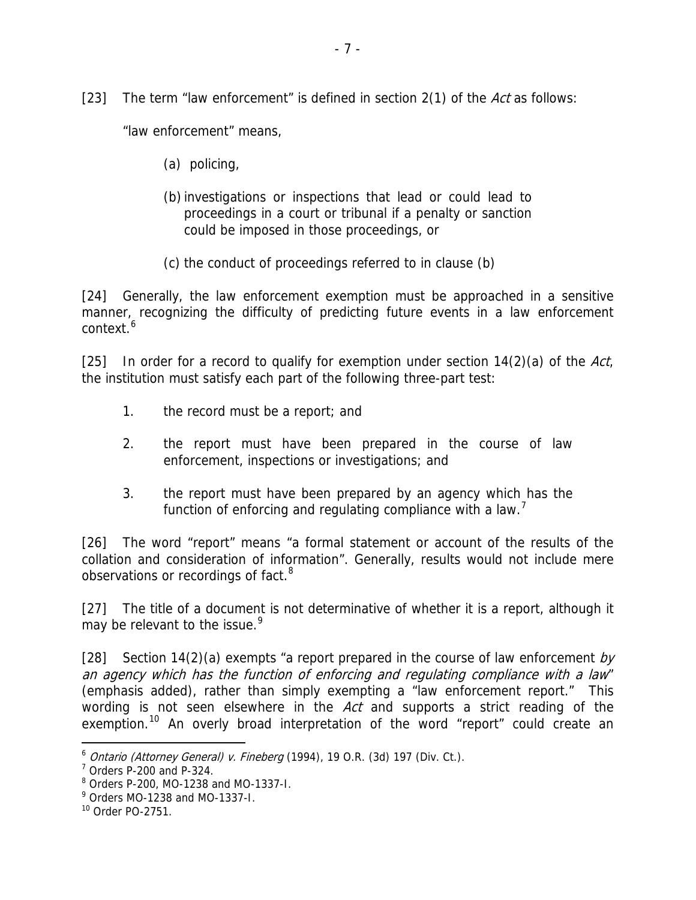[23] The term "law enforcement" is defined in section  $2(1)$  of the Act as follows:

"law enforcement" means,

- (a) policing,
- (b)investigations or inspections that lead or could lead to proceedings in a court or tribunal if a penalty or sanction could be imposed in those proceedings, or
- (c) the conduct of proceedings referred to in clause (b)

[24] Generally, the law enforcement exemption must be approached in a sensitive manner, recognizing the difficulty of predicting future events in a law enforcement context.[6](#page-6-0)

[25] In order for a record to qualify for exemption under section  $14(2)(a)$  of the Act, the institution must satisfy each part of the following three-part test:

- 1. the record must be a report; and
- 2. the report must have been prepared in the course of law enforcement, inspections or investigations; and
- 3. the report must have been prepared by an agency which has the function of enforcing and regulating compliance with a law.<sup>[7](#page-6-1)</sup>

[26] The word "report" means "a formal statement or account of the results of the collation and consideration of information". Generally, results would not include mere observations or recordings of fact.<sup>[8](#page-6-2)</sup>

[27] The title of a document is not determinative of whether it is a report, although it may be relevant to the issue.<sup>[9](#page-6-3)</sup>

[28] Section 14(2)(a) exempts "a report prepared in the course of law enforcement by an agency which has the function of enforcing and regulating compliance with a law" (emphasis added), rather than simply exempting a "law enforcement report." This wording is not seen elsewhere in the Act and supports a strict reading of the exemption.<sup>[10](#page-6-4)</sup> An overly broad interpretation of the word "report" could create an

 $\overline{a}$ 

<span id="page-6-1"></span><span id="page-6-0"></span> $6$  Ontario (Attorney General) v. Fineberg (1994), 19 O.R. (3d) 197 (Div. Ct.).

<sup>7</sup> Orders P-200 and P-324.

<span id="page-6-2"></span><sup>8</sup> Orders P-200, MO-1238 and MO-1337-I.

<span id="page-6-3"></span><sup>&</sup>lt;sup>9</sup> Orders MO-1238 and MO-1337-I.

<span id="page-6-4"></span><sup>10</sup> Order PO-2751.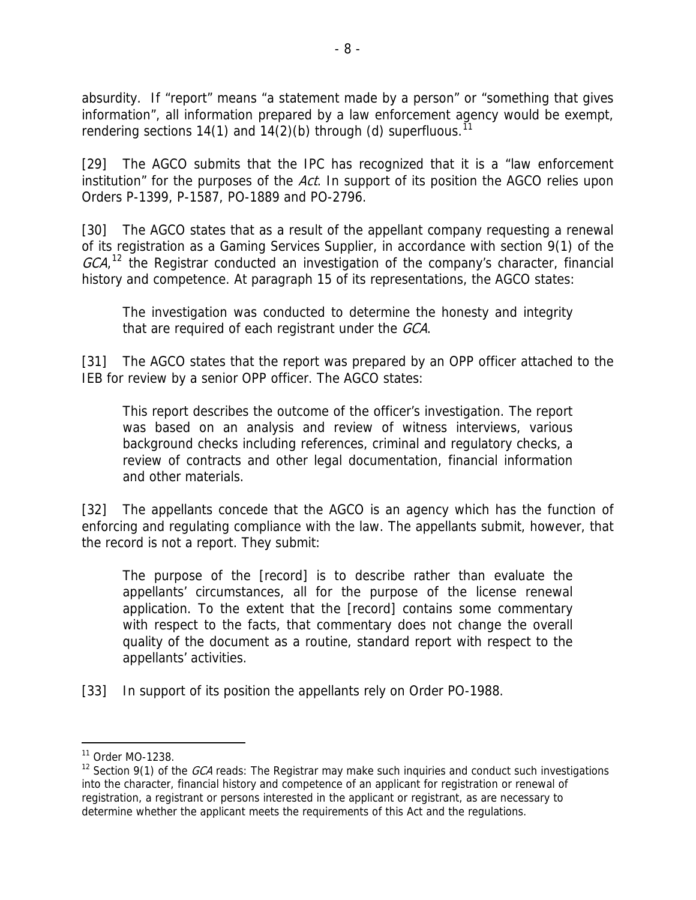absurdity. If "report" means "a statement made by a person" or "something that gives information", all information prepared by a law enforcement agency would be exempt, rendering sections 14(1) and 14(2)(b) through (d) superfluous.<sup>[11](#page-7-0)</sup>

[29] The AGCO submits that the IPC has recognized that it is a "law enforcement institution" for the purposes of the Act. In support of its position the AGCO relies upon Orders P-1399, P-1587, PO-1889 and PO-2796.

[30] The AGCO states that as a result of the appellant company requesting a renewal of its registration as a Gaming Services Supplier, in accordance with section 9(1) of the  $GCA$ ,<sup>[12](#page-7-1)</sup> the Registrar conducted an investigation of the company's character, financial history and competence. At paragraph 15 of its representations, the AGCO states:

The investigation was conducted to determine the honesty and integrity that are required of each registrant under the GCA.

[31] The AGCO states that the report was prepared by an OPP officer attached to the IEB for review by a senior OPP officer. The AGCO states:

This report describes the outcome of the officer's investigation. The report was based on an analysis and review of witness interviews, various background checks including references, criminal and regulatory checks, a review of contracts and other legal documentation, financial information and other materials.

[32] The appellants concede that the AGCO is an agency which has the function of enforcing and regulating compliance with the law. The appellants submit, however, that the record is not a report. They submit:

The purpose of the [record] is to describe rather than evaluate the appellants' circumstances, all for the purpose of the license renewal application. To the extent that the [record] contains some commentary with respect to the facts, that commentary does not change the overall quality of the document as a routine, standard report with respect to the appellants' activities.

[33] In support of its position the appellants rely on Order PO-1988.

 $\overline{a}$ 

<span id="page-7-0"></span><sup>11</sup> Order MO-1238.

<span id="page-7-1"></span><sup>&</sup>lt;sup>12</sup> Section 9(1) of the *GCA* reads: The Registrar may make such inquiries and conduct such investigations into the character, financial history and competence of an applicant for registration or renewal of registration, a registrant or persons interested in the applicant or registrant, as are necessary to determine whether the applicant meets the requirements of this Act and the regulations.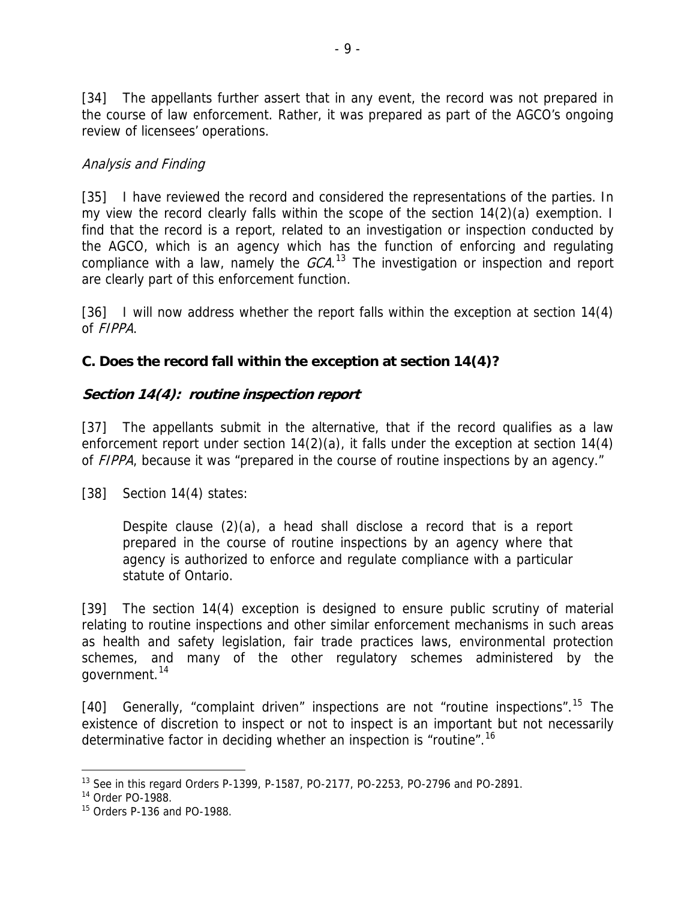[34] The appellants further assert that in any event, the record was not prepared in the course of law enforcement. Rather, it was prepared as part of the AGCO's ongoing review of licensees' operations.

#### Analysis and Finding

are clearly part of this enforcement function. [35] I have reviewed the record and considered the representations of the parties. In my view the record clearly falls within the scope of the section 14(2)(a) exemption. I find that the record is a report, related to an investigation or inspection conducted by the AGCO, which is an agency which has the function of enforcing and regulating compliance with a law, namely the  $GCA$ .<sup>[13](#page-8-0)</sup> The investigation or inspection and report

[36] I will now address whether the report falls within the exception at section 14(4) of FIPPA.

#### **C. Does the record fall within the exception at section 14(4)?**

#### **Section 14(4): routine inspection report**

[37] The appellants submit in the alternative, that if the record qualifies as a law enforcement report under section 14(2)(a), it falls under the exception at section 14(4) of FIPPA, because it was "prepared in the course of routine inspections by an agency."

[38] Section 14(4) states:

Despite clause (2)(a), a head shall disclose a record that is a report prepared in the course of routine inspections by an agency where that agency is authorized to enforce and regulate compliance with a particular statute of Ontario.

government.<sup>14</sup> [39] The section 14(4) exception is designed to ensure public scrutiny of material relating to routine inspections and other similar enforcement mechanisms in such areas as health and safety legislation, fair trade practices laws, environmental protection schemes, and many of the other regulatory schemes administered by the

existence of discretion to inspect or not to inspect is an important but not necessarily determinative factor in deciding whether an inspection is "routine".16 [40] Generally, "complaint driven" inspections are not "routine inspections".<sup>[15](#page-8-1)</sup> The

<span id="page-8-0"></span> $\overline{a}$ - $13$  See in this regard Orders P-1399, P-1587, PO-2177, PO-2253, PO-2796 and PO-2891.

 $14$  Order PO-1988.

<span id="page-8-1"></span> $15$  Orders P-136 and PO-1988.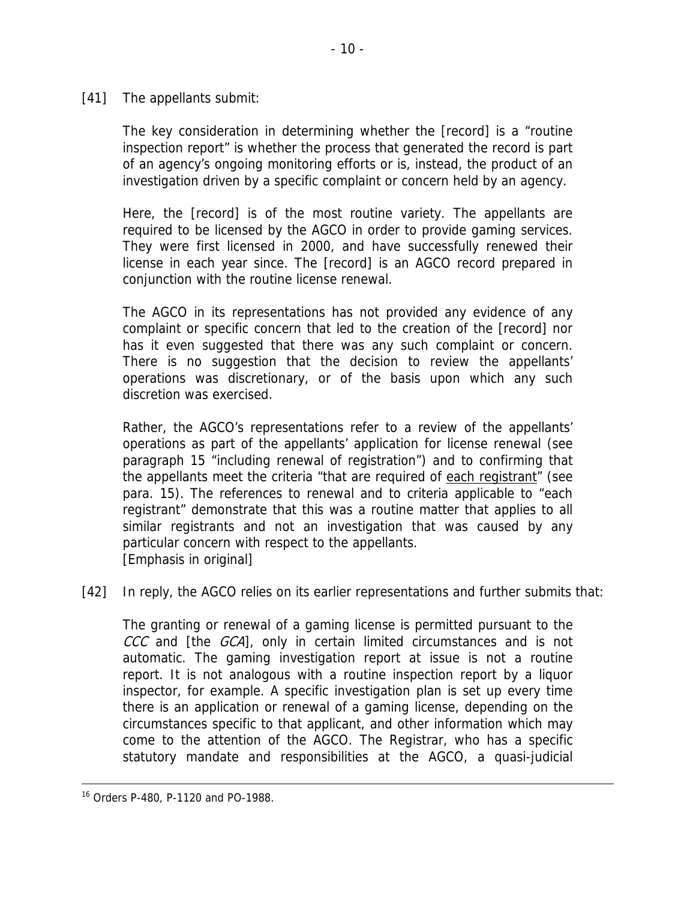[41] The appellants submit:

The key consideration in determining whether the [record] is a "routine inspection report" is whether the process that generated the record is part of an agency's ongoing monitoring efforts or is, instead, the product of an investigation driven by a specific complaint or concern held by an agency.

Here, the [record] is of the most routine variety. The appellants are required to be licensed by the AGCO in order to provide gaming services. They were first licensed in 2000, and have successfully renewed their license in each year since. The [record] is an AGCO record prepared in conjunction with the routine license renewal.

The AGCO in its representations has not provided any evidence of any complaint or specific concern that led to the creation of the [record] nor has it even suggested that there was any such complaint or concern. There is no suggestion that the decision to review the appellants' operations was discretionary, or of the basis upon which any such discretion was exercised.

Rather, the AGCO's representations refer to a review of the appellants' operations as part of the appellants' application for license renewal (see paragraph 15 "including renewal of registration") and to confirming that the appellants meet the criteria "that are required of each registrant" (see para. 15). The references to renewal and to criteria applicable to "each registrant" demonstrate that this was a routine matter that applies to all similar registrants and not an investigation that was caused by any particular concern with respect to the appellants. [Emphasis in original]

[42] In reply, the AGCO relies on its earlier representations and further submits that:

The granting or renewal of a gaming license is permitted pursuant to the CCC and [the GCA], only in certain limited circumstances and is not automatic. The gaming investigation report at issue is not a routine report. It is not analogous with a routine inspection report by a liquor inspector, for example. A specific investigation plan is set up every time there is an application or renewal of a gaming license, depending on the circumstances specific to that applicant, and other information which may come to the attention of the AGCO. The Registrar, who has a specific statutory mandate and responsibilities at the AGCO, a quasi-judicial

 <sup>16</sup> Orders P-480, P-1120 and PO-1988.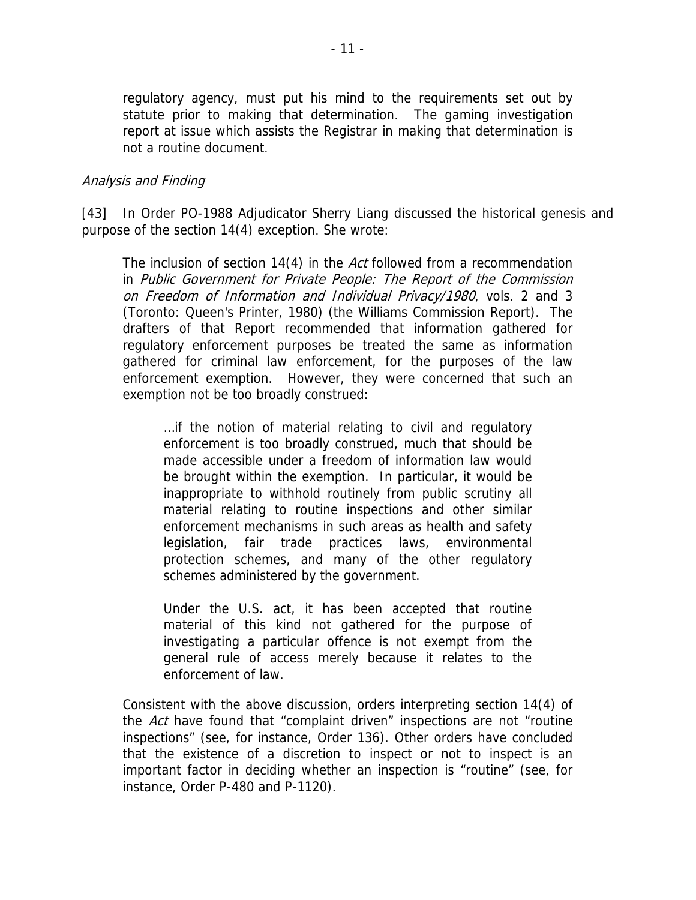statute prior to making that determination. The gaming investigation report at issue which assists the Registrar in making that determination is not a routine document. regulatory agency, must put his mind to the requirements set out by

#### Analysis and Finding

In Order PO-1988 Adjudicator Sherry Liang discussed the historical genesis and purpos e of the section 14(4) exception. She wrote: [43]

The inclusion of section 14(4) in the Act followed from a recommendation gathered for criminal law enforcement, for the purposes of the law enforcement exemption. However, they were concerned that such an exemp tion not be too broadly construed: in Public Government for Private People: The Report of the Commission on Freedom of Information and Individual Privacy/1980, vols. 2 and 3 (Toronto: Queen's Printer, 1980) (the Williams Commission Report). The drafters of that Report recommended that information gathered for regulatory enforcement purposes be treated the same as information

 environmental protection schemes, and many of the other regulatory …if the notion of material relating to civil and regulatory enforcement is too broadly construed, much that should be made accessible under a freedom of information law would be brought within the exemption. In particular, it would be inappropriate to withhold routinely from public scrutiny all material relating to routine inspections and other similar enforcement mechanisms in such areas as health and safety legislation, fair trade practices laws, schemes administered by the government.

investigating a particular offence is not exempt from the general rule of access merely because it relates to the Under the U.S. act, it has been accepted that routine material of this kind not gathered for the purpose of enforcement of law.

that the existence of a discretion to inspect or not to inspect is an important factor in deciding whether an inspection is "routine" (see, for Consistent with the above discussion, orders interpreting section 14(4) of the Act have found that "complaint driven" inspections are not "routine inspections" (see, for instance, Order 136). Other orders have concluded instance, Order P-480 and P-1120).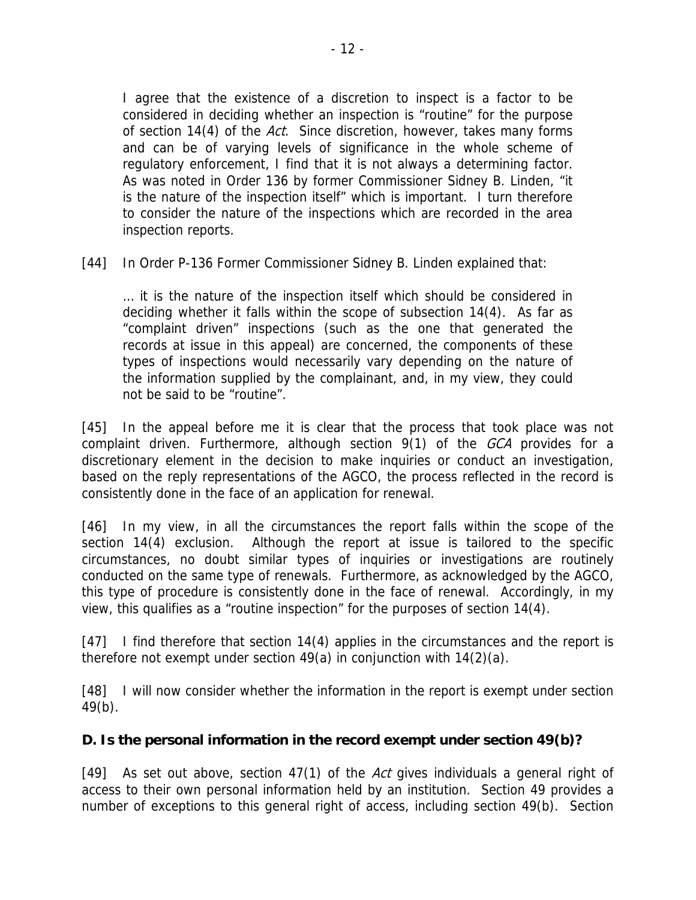is the nature of the inspection itself" which is important. I turn therefore to consider the nature of the inspections which are recorded in the area I agree that the existence of a discretion to inspect is a factor to be considered in deciding whether an inspection is "routine" for the purpose of section 14(4) of the Act. Since discretion, however, takes many forms and can be of varying levels of significance in the whole scheme of regulatory enforcement, I find that it is not always a determining factor. As was noted in Order 136 by former Commissioner Sidney B. Linden, "it inspection reports.

[44] In Order P-136 Former Commissioner Sidney B. Linden explained that:

types of inspections would necessarily vary depending on the nature of the information supplied by the complainant, and, in my view, they could … it is the nature of the inspection itself which should be considered in deciding whether it falls within the scope of subsection 14(4). As far as "complaint driven" inspections (such as the one that generated the records at issue in this appeal) are concerned, the components of these not be said to be "routine".

discretionary element in the decision to make inquiries or conduct an investigation, based on the reply representations of the AGCO, the process reflected in the record is [45] In the appeal before me it is clear that the process that took place was not complaint driven. Furthermore, although section 9(1) of the GCA provides for a consistently done in the face of an application for renewal.

conducted on the same type of renewals. Furthermore, as acknowledged by the AGCO, this type of procedure is consistently done in the face of renewal. Accordingly, in my view, this qualifies as a "routine inspection" for the purposes of section 14(4). [46] In my view, in all the circumstances the report falls within the scope of the section 14(4) exclusion. Although the report at issue is tailored to the specific circumstances, no doubt similar types of inquiries or investigations are routinely

7] I find therefore that section 14(4) applies in the circumstances and the report is [47] therefore not exempt under section 49(a) in conjunction with 14(2)(a).

[48] I will now consider whether the information in the report is exempt under section  $49(b)$ .

#### **D. Is the personal information in the record exempt under section 49(b)?**

[49] As set out above, section 47(1) of the Act gives individuals a general right of access to their own personal information held by an institution. Section 49 provides a number of exceptions to this general right of access, including section 49(b). Section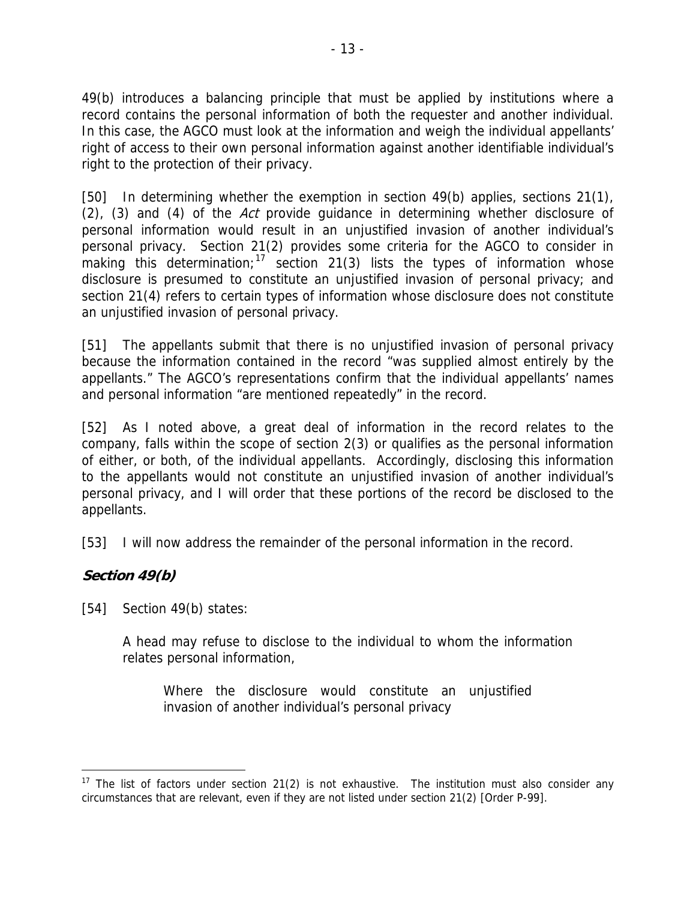In this case, the AGCO must look at the information and weigh the individual appellants' right of access to their own personal information against another identifiable individual's 49(b) introduces a balancing principle that must be applied by institutions where a record contains the personal information of both the requester and another individual. right to the protection of their privacy.

disclosure is presumed to constitute an unjustified invasion of personal privacy; and section 21(4) refers to certain types of information whose disclosure does not constitute [50] In determining whether the exemption in section 49(b) applies, sections 21(1), (2), (3) and (4) of the Act provide guidance in determining whether disclosure of personal information would result in an unjustified invasion of another individual's personal privacy. Section 21(2) provides some criteria for the AGCO to consider in making this determination;<sup>[17](#page-12-0)</sup> section 21(3) lists the types of information whose an unjustified invasion of personal privacy.

because the information contained in the record "was supplied almost entirely by the appellants." The AGCO's representations confirm that the individual appellants' names [51] The appellants submit that there is no unjustified invasion of personal privacy and personal information "are mentioned repeatedly" in the record.

to the appellants would not constitute an unjustified invasion of another individual's personal privacy, and I will order that these portions of the record be disclosed to the appellants. [52] As I noted above, a great deal of information in the record relates to the company, falls within the scope of section 2(3) or qualifies as the personal information of either, or both, of the individual appellants. Accordingly, disclosing this information

[53] I will now address the remainder of the personal information in the record.

#### **Section 49(b)**

[54] Section 49(b) states:

A head may refuse to disclose to the individual to whom the information relates personal information,

Where the disclosure would constitute an unjustified invasion of another individual's personal privacy

<span id="page-12-0"></span> $\overline{a}$ <sup>17</sup> The list of factors under section 21(2) is not exhaustive. The institution must also consider any circumstances that are relevant, even if they are not listed under section 21(2) [Order P-99].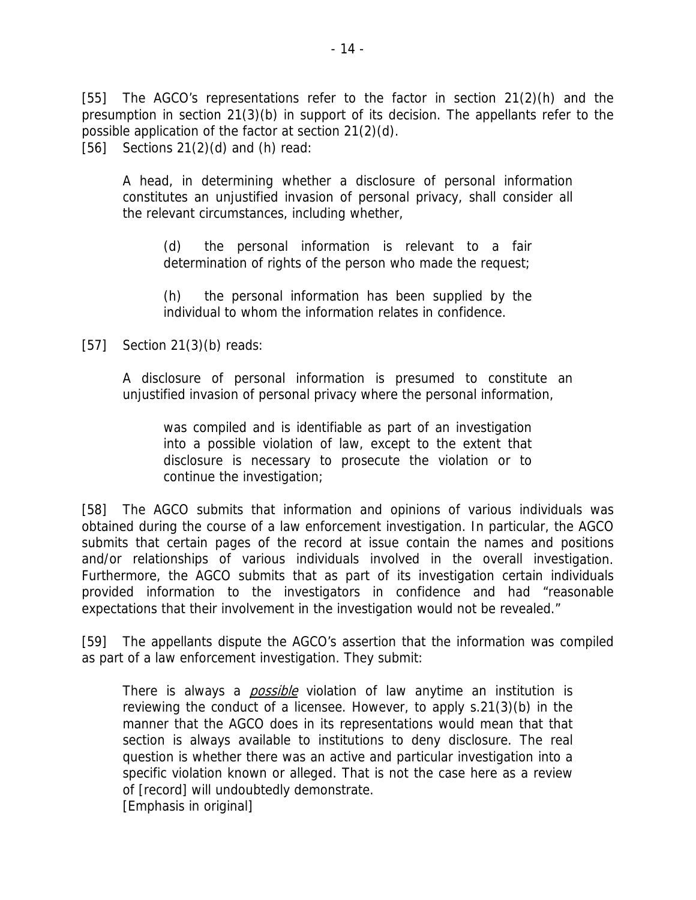[55] The AGCO's representations refer to the factor in section  $21(2)(h)$  and the presumption in section 21(3)(b) in support of its decision. The appellants refer to the possib le application of the factor at section 21(2)(d). [56] Sections 21(2)(d) and (h) read:

A head, in determining whether a disclosure of personal information constitutes an unjustified invasion of personal privacy, shall consider all the rel evant circumstances, including whether,

> determination of rights of the person who made the request; (d) the personal information is relevant to a fair

> (h) the personal information has been supplied by the individual to whom the information relates in confidence.

#### [57] Section 21(3)(b) reads:

A disclosure of personal information is presumed to constitute an unjustified invasion of personal privacy where the personal information,

was compiled and is identifiable as part of an investigation into a possible violation of law, except to the extent that disclosure is necessary to prosecute the violation or to continue the investigation;

and/or relationships of various individuals involved in the overall investigation. Furthermore, the AGCO submits that as part of its investigation certain individuals provided information to the investigators in confidence and had "reasonable expectations that their involvement in the investigation would not be revealed." [58] The AGCO submits that information and opinions of various individuals was obtained during the course of a law enforcement investigation. In particular, the AGCO submits that certain pages of the record at issue contain the names and positions

[59] The appellants dispute the AGCO's assertion that the information was compiled as part of a law enforcement investigation. They submit:

There is always a *possible* violation of law anytime an institution is reviewing the conduct of a licensee. However, to apply s.21(3)(b) in the manner that the AGCO does in its representations would mean that that section is always available to institutions to deny disclosure. The real question is whether there was an active and particular investigation into a specific violation known or alleged. That is not the case here as a review of [record] will undoubtedly demonstrate. [Emphasis in original]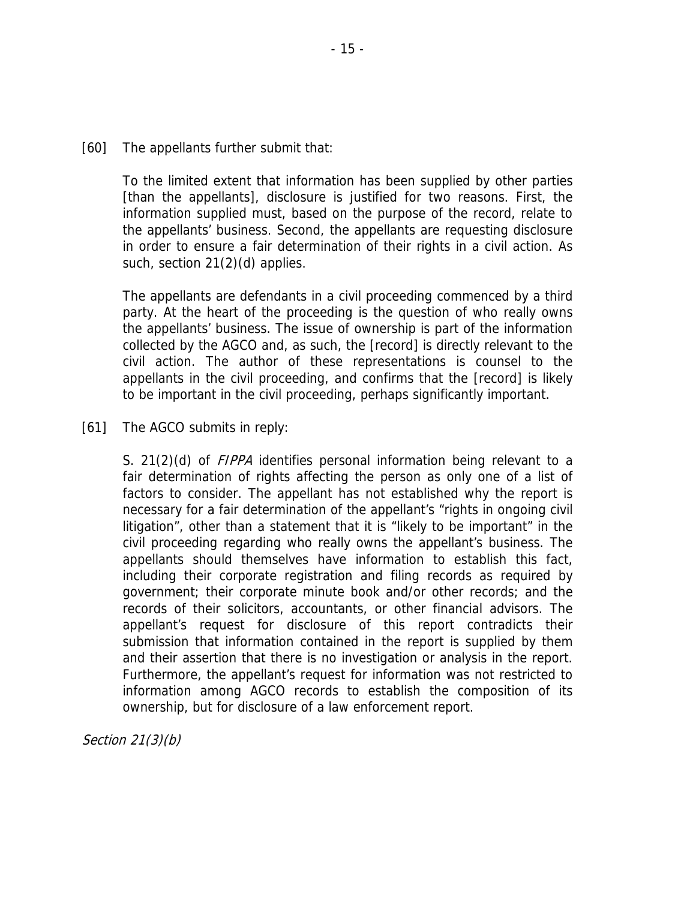information supplied must, based on the purpose of the record, relate to the appellants' business. Second, the appellants are requesting disclosure To the limited extent that information has been supplied by other parties [than the appellants], disclosure is justified for two reasons. First, the in order to ensure a fair determination of their rights in a civil action. As such, section 21(2)(d) applies.

collected by the AGCO and, as such, the [record] is directly relevant to the civil action. The author of these representations is counsel to the appellants in the civil proceeding, and confirms that the [record] is likely to be important in the civil proceeding, perhaps significantly important. The appellants are defendants in a civil proceeding commenced by a third party. At the heart of the proceeding is the question of who really owns the appellants' business. The issue of ownership is part of the information

#### [61] The AGCO submits in reply:

and their assertion that there is no investigation or analysis in the report. Furthermore, the appellant's request for information was not restricted to information among AGCO records to establish the composition of its ownership, but for disclosure of a law enforcement report. S. 21(2)(d) of *FIPPA* identifies personal information being relevant to a fair determination of rights affecting the person as only one of a list of factors to consider. The appellant has not established why the report is necessary for a fair determination of the appellant's "rights in ongoing civil litigation", other than a statement that it is "likely to be important" in the civil proceeding regarding who really owns the appellant's business. The appellants should themselves have information to establish this fact, including their corporate registration and filing records as required by government; their corporate minute book and/or other records; and the records of their solicitors, accountants, or other financial advisors. The appellant's request for disclosure of this report contradicts their submission that information contained in the report is supplied by them

Section 21(3)(b)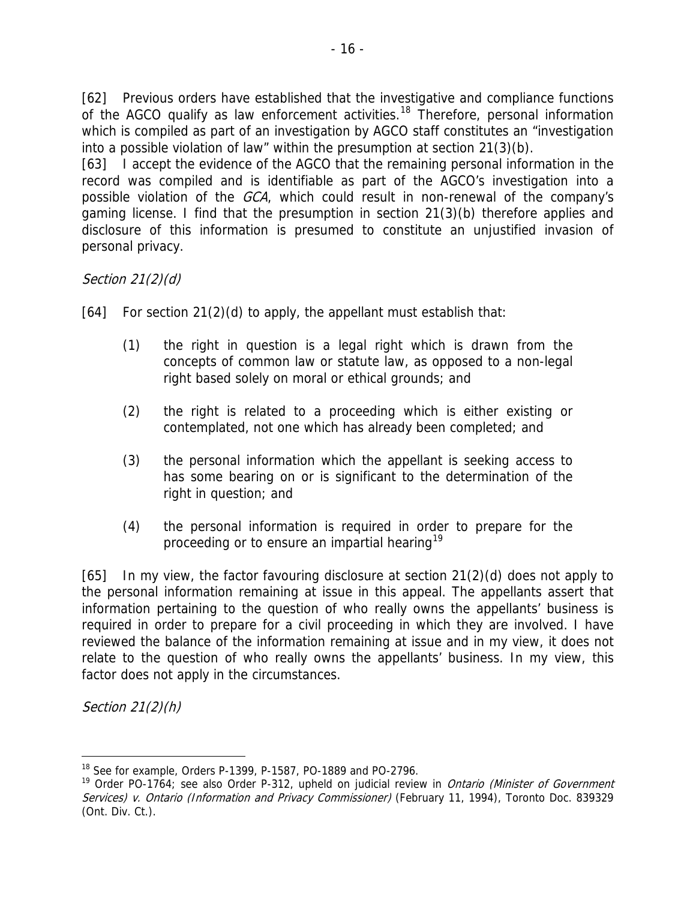[62] Previous orders have established that the investigative and compliance functions of the AGCO qualify as law enforcement activities.<sup>18</sup> Therefore, personal information which is compiled as part of an investigation by AGCO staff constitutes an "investigation into a possible violation of law" within the presumption at section 21(3)(b).

record was compiled and is identifiable as part of the AGCO's investigation into a possible violation of the *GCA*, which could result in non-renewal of the company's gaming license. I find that the presumption in section 21(3)(b) therefore applies and disclosure of this information is presumed to constitute an unjustified invasion of [63] I accept the evidence of the AGCO that the remaining personal information in the personal privacy.

Section 21(2)(d)

[64] For section 21(2)(d) to apply, the appellant must establish that:

- concepts of common law or statute law, as opposed to a non-legal right based solely on moral or ethical grounds; and (1) the right in question is a legal right which is drawn from the
- (2) contemplated, not one which has already been completed; and the right is related to a proceeding which is either existing or
- has some bearing on or is significant to the determination of the right in question; and (3) the personal information which the appellant is seeking access to
- (4) the personal information is required in order to prepare for the proceeding or to ensure an impartial hearing<sup>19</sup>

information pertaining to the question of who really owns the appellants' business is required in order to prepare for a civil proceeding in which they are involved. I have reviewed the balance of the information remaining at issue and in my view, it does not relate to the question of who really owns the appellants' business. In my view, this [65] In my view, the factor favouring disclosure at section 21(2)(d) does not apply to the personal information remaining at issue in this appeal. The appellants assert that factor does not apply in the circumstances.

Section 21(2)(h)

<sup>-</sup>18 See for example, Orders P-1399, P-1587, PO-1889 and PO-2796.

<sup>&</sup>lt;sup>19</sup> Order PO-1764; see also Order P-312, upheld on judicial review in *Ontario (Minister of Government* Services) v. Ontario (Information and Privacy Commissioner) (February 11, 1994), Toronto Doc. 839329 (Ont. Div. Ct.).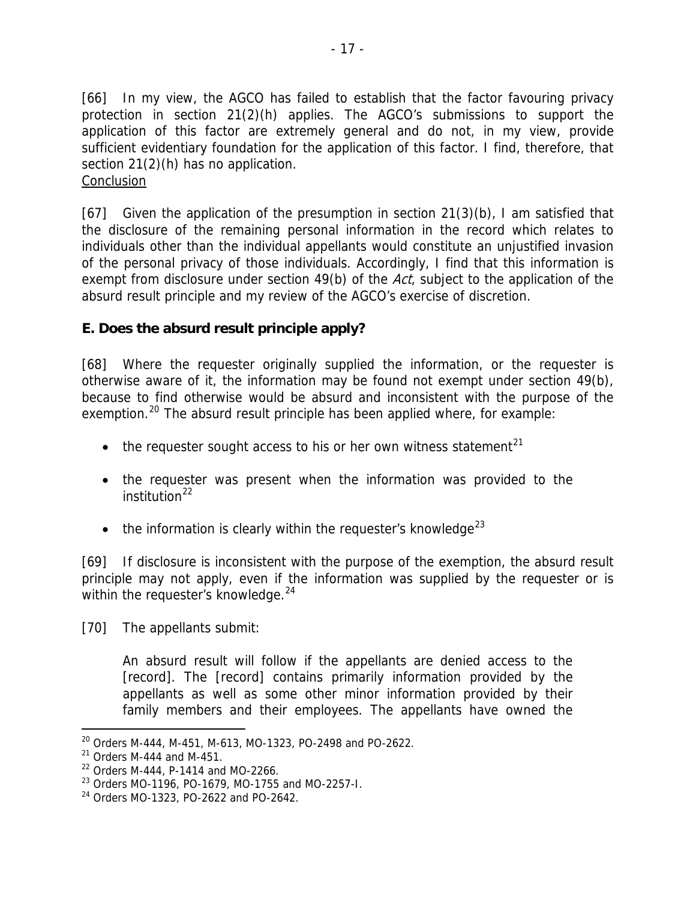[66] In my view, the AGCO has failed to establish that the factor favouring privacy protection in section 21(2)(h) applies. The AGCO's submissions to support the application of this factor are extremely general and do not, in my view, provide sufficient evidentiary foundation for the application of this factor. I find, therefore, that section 21(2)(h) has no application. **Conclusion** 

[67] Given the application of the presumption in section 21(3)(b), I am satisfied that the disclosure of the remaining personal information in the record which relates to individuals other than the individual appellants would constitute an unjustified invasion of the personal privacy of those individuals. Accordingly, I find that this information is exempt from disclosure under section 49(b) of the Act, subject to the application of the absurd result principle and my review of the AGCO's exercise of discretion.

#### **E. Does the absurd result principle apply?**

[68] Where the requester originally supplied the information, or the requester is otherwise aware of it, the information may be found not exempt under section 49(b), because to find otherwise would be absurd and inconsistent with the purpose of the exemption.<sup>[20](#page-16-0)</sup> The absurd result principle has been applied where, for example:

- the requester sought access to his or her own witness statement<sup>21</sup>
- the requester was present when the information was provided to the  $institution<sup>22</sup>$  $institution<sup>22</sup>$  $institution<sup>22</sup>$
- $\bullet$  the information is clearly within the requester's knowledge<sup>23</sup>

[69] If disclosure is inconsistent with the purpose of the exemption, the absurd result principle may not apply, even if the information was supplied by the requester or is within the requester's knowledge.<sup>24</sup>

[70] The appellants submit:

family members and their employees. The appellants have owned the An absurd result will follow if the appellants are denied access to the [record]. The [record] contains primarily information provided by the appellants as well as some other minor information provided by their

-

 $20$  Orders M-444, M-451, M-613, MO-1323, PO-2498 and PO-2622.

 $21$  Orders M-444 and M-451.

<span id="page-16-0"></span> $22$  Orders M-444, P-1414 and MO-2266.

<sup>23</sup> Orders MO-1196, PO-1679, MO-1755 and MO-2257-I.

<span id="page-16-1"></span><sup>24</sup> Orders MO-1323, PO-2622 and PO-2642.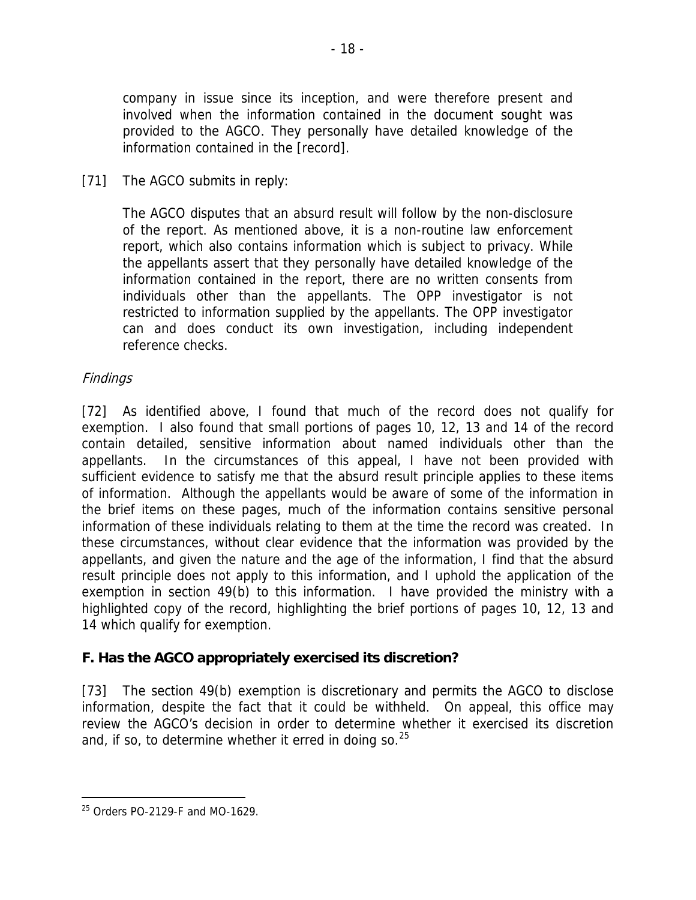company in issue since its inception, and were therefore present and involved when the information contained in the document sought was provided to the AGCO. They personally have detailed knowledge of the information contained in the [record].

#### [71] The AGCO submits in reply:

the appellants assert that they personally have detailed knowledge of the formation contained in the report, there are no written consents from in individuals other than the appellants. The OPP investigator is not restricted to information supplied by the appellants. The OPP investigator The AGCO disputes that an absurd result will follow by the non-disclosure of the report. As mentioned above, it is a non-routine law enforcement report, which also contains information which is subject to privacy. While can and does conduct its own investigation, including independent reference checks.

#### Findings

these circumstances, without clear evidence that the information was provided by the appellants, and given the nature and the age of the information, I find that the absurd result principle does not apply to this information, and I uphold the application of the exemption in section 49(b) to this information. I have provided the ministry with a [72] As identified above, I found that much of the record does not qualify for exemption. I also found that small portions of pages 10, 12, 13 and 14 of the record contain detailed, sensitive information about named individuals other than the appellants. In the circumstances of this appeal, I have not been provided with sufficient evidence to satisfy me that the absurd result principle applies to these items of information. Although the appellants would be aware of some of the information in the brief items on these pages, much of the information contains sensitive personal information of these individuals relating to them at the time the record was created. In highlighted copy of the record, highlighting the brief portions of pages 10, 12, 13 and 14 which qualify for exemption.

#### F. Has the AGCO appropriately exercised its discretion?

[73] The section 49(b) exemption is discretionary and permits the AGCO to disclose information, despite the fact that it could be withheld. On appeal, this office may review the AGCO's decision in order to determine whether it exercised its discretion and, if so, to determine whether it erred in doing so.  $25$ 

-

<sup>25</sup> Orders PO-2129-F and MO-1629.